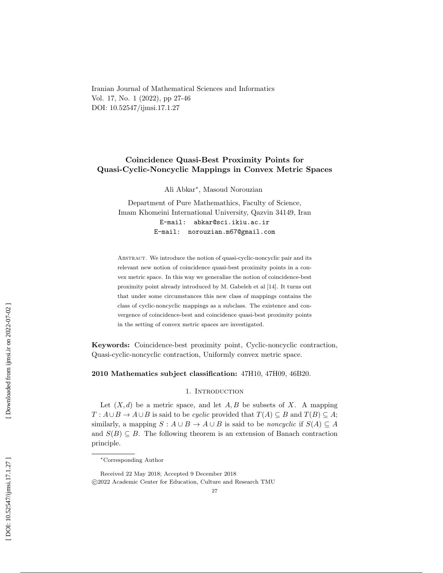Iranian Journal of Mathematical Sciences and Informatics Vol. 17, No. 1 (2022), pp 27-46 DOI: 10.52547/ijmsi.17.1.27

# Coincidence Quasi-Best Proximity Points for Quasi-Cyclic-Noncyclic Mappings in Convex Metric Spaces

Ali Abkar ∗ , Masoud Norouzian

Department of Pure Mathemathics, Faculty of Science, Imam Khomeini International University, Qazvin 34149, Iran E-mail: abkar@sci.ikiu.ac.ir E-mail: norouzian.m67@gmail.com

ABSTRACT. We introduce the notion of quasi-cyclic-noncyclic pair and its relevant new notion of coincidence quasi-best proximity points in a convex metric space. In this way we generalize the notion of coincidence-best proximity point already introduced by M. Gabeleh et al [14]. It turns out that under some circumstances this new class of mappings contains the class of cyclic-noncyclic mappings as a subclass. The existence and convergence of coincidence-best and coincidence quasi-best proximity points in the setting of convex metric spaces are investigated.

Keywords: Coincidence-best proximity point, Cyclic-noncyclic contraction, Quasi-cyclic-noncyclic contraction, Uniformly convex metric space.

2010 Mathematics subject classification: 47H10, 47H09, 46B20.

#### 1. INTRODUCTION

Let  $(X, d)$  be a metric space, and let  $A, B$  be subsets of X. A mapping  $T: A \cup B \to A \cup B$  is said to be *cyclic* provided that  $T(A) \subseteq B$  and  $T(B) \subseteq A$ ; similarly, a mapping  $S: A \cup B \rightarrow A \cup B$  is said to be *noncyclic* if  $S(A) \subseteq A$ and  $S(B) \subseteq B$ . The following theorem is an extension of Banach contraction principle.

<sup>∗</sup>Corresponding Author

Received 22 May 2018; Accepted 9 December 2018 c 2022 Academic Center for Education, Culture and Research TMU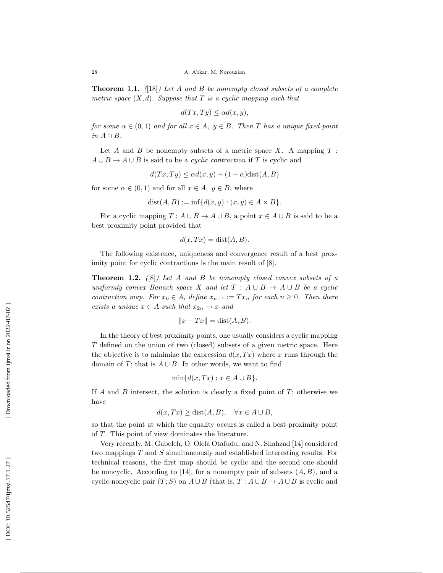**Theorem 1.1.** ([18]) Let A and B be nonempty closed subsets of a complete metric space  $(X, d)$ . Suppose that T is a cyclic mapping such that

$$
d(Tx, Ty) \le \alpha d(x, y),
$$

for some  $\alpha \in (0,1)$  and for all  $x \in A$ ,  $y \in B$ . Then T has a unique fixed point in  $A \cap B$ .

Let A and B be nonempty subsets of a metric space X. A mapping  $T$ :  $A \cup B \rightarrow A \cup B$  is said to be a *cyclic contraction* if T is cyclic and

$$
d(Tx, Ty) \le \alpha d(x, y) + (1 - \alpha) \text{dist}(A, B)
$$

for some  $\alpha \in (0,1)$  and for all  $x \in A$ ,  $y \in B$ , where

$$
dist(A, B) := inf{d(x, y) : (x, y) \in A \times B}.
$$

For a cyclic mapping  $T: A \cup B \to A \cup B$ , a point  $x \in A \cup B$  is said to be a best proximity point provided that

$$
d(x, Tx) = \text{dist}(A, B).
$$

The following existence, uniqueness and convergence result of a best proximity point for cyclic contractions is the main result of  $[8]$ .

**Theorem 1.2.** ([8]) Let A and B be nonempty closed convex subsets of a uniformly convex Banach space X and let  $T : A \cup B \rightarrow A \cup B$  be a cyclic contraction map. For  $x_0 \in A$ , define  $x_{n+1} := Tx_n$  for each  $n \geq 0$ . Then there exists a unique  $x \in A$  such that  $x_{2n} \to x$  and

$$
||x - Tx|| = \text{dist}(A, B).
$$

In the theory of best proximity points, one usually considers a cyclic mapping T defined on the union of two (closed) subsets of a given metric space. Here the objective is to minimize the expression  $d(x,Tx)$  where x runs through the domain of T; that is  $A \cup B$ . In other words, we want to find

$$
\min\{d(x,Tx):x\in A\cup B\}.
$$

If  $A$  and  $B$  intersect, the solution is clearly a fixed point of  $T$ ; otherwise we have

$$
d(x,Tx) \ge \text{dist}(A,B), \quad \forall x \in A \cup B,
$$

so that the point at which the equality occurs is called a best proximity point of T. This point of view dominates the literature.

Very recently, M. Gabeleh, O. Olela Otafudu, and N. Shahzad [14] considered two mappings T and S simultaneously and established interesting results. For technical reasons, the first map should be cyclic and the second one should be noncyclic. According to [14], for a nonempty pair of subsets  $(A, B)$ , and a cyclic-noncyclic pair  $(T; S)$  on  $A \cup B$  (that is,  $T: A \cup B \rightarrow A \cup B$  is cyclic and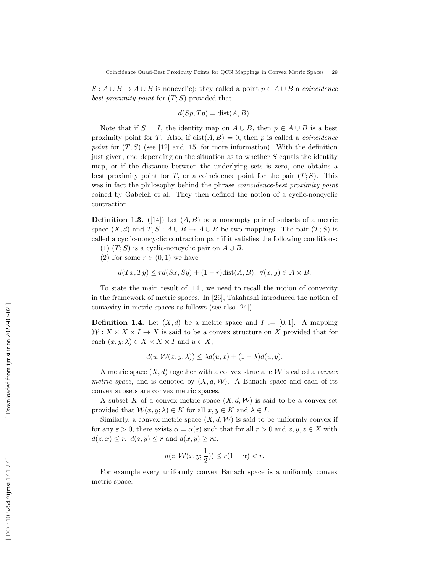$S: A \cup B \rightarrow A \cup B$  is noncyclic); they called a point  $p \in A \cup B$  a *coincidence* best proximity point for  $(T; S)$  provided that

$$
d(Sp, Tp) = \text{dist}(A, B).
$$

Note that if  $S = I$ , the identity map on  $A \cup B$ , then  $p \in A \cup B$  is a best proximity point for T. Also, if  $dist(A, B) = 0$ , then p is called a *coincidence* point for  $(T; S)$  (see [12] and [15] for more information). With the definition just given, and depending on the situation as to whether S equals the identity map, or if the distance between the underlying sets is zero, one obtains a best proximity point for T, or a coincidence point for the pair  $(T; S)$ . This was in fact the philosophy behind the phrase *coincidence-best proximity point* coined by Gabeleh et al. They then defined the notion of a cyclic-noncyclic contraction.

**Definition 1.3.** ([14]) Let  $(A, B)$  be a nonempty pair of subsets of a metric space  $(X, d)$  and  $T, S : A \cup B \rightarrow A \cup B$  be two mappings. The pair  $(T; S)$  is called a cyclic-noncyclic contraction pair if it satisfies the following conditions:

- (1)  $(T; S)$  is a cyclic-noncyclic pair on  $A \cup B$ .
- (2) For some  $r \in (0,1)$  we have

$$
d(Tx, Ty) \le rd(Sx, Sy) + (1 - r)\text{dist}(A, B), \ \forall (x, y) \in A \times B.
$$

To state the main result of [14], we need to recall the notion of convexity in the framework of metric spaces. In [26], Takahashi introduced the notion of convexity in metric spaces as follows (see also [24]).

**Definition 1.4.** Let  $(X,d)$  be a metric space and  $I := [0,1]$ . A mapping  $W: X \times X \times I \to X$  is said to be a convex structure on X provided that for each  $(x, y; \lambda) \in X \times X \times I$  and  $u \in X$ ,

$$
d(u, \mathcal{W}(x, y; \lambda)) \leq \lambda d(u, x) + (1 - \lambda) d(u, y).
$$

A metric space  $(X, d)$  together with a convex structure W is called a *convex* metric space, and is denoted by  $(X, d, W)$ . A Banach space and each of its convex subsets are convex metric spaces.

A subset K of a convex metric space  $(X, d, W)$  is said to be a convex set provided that  $\mathcal{W}(x, y; \lambda) \in K$  for all  $x, y \in K$  and  $\lambda \in I$ .

Similarly, a convex metric space  $(X, d, W)$  is said to be uniformly convex if for any  $\varepsilon > 0$ , there exists  $\alpha = \alpha(\varepsilon)$  such that for all  $r > 0$  and  $x, y, z \in X$  with  $d(z, x) \leq r$ ,  $d(z, y) \leq r$  and  $d(x, y) \geq r\varepsilon$ ,

$$
d(z, \mathcal{W}(x, y; \frac{1}{2})) \le r(1 - \alpha) < r.
$$

For example every uniformly convex Banach space is a uniformly convex metric space.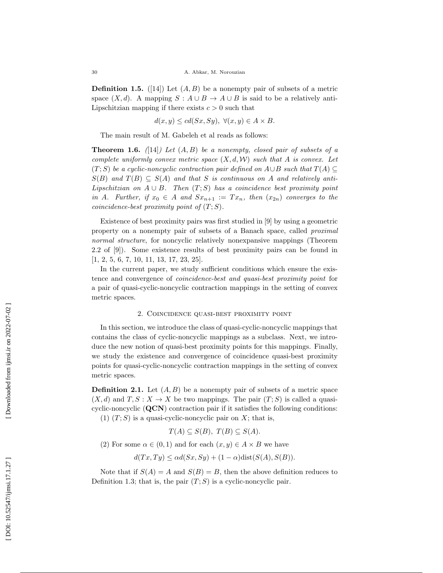**Definition 1.5.** ([14]) Let  $(A, B)$  be a nonempty pair of subsets of a metric space  $(X, d)$ . A mapping  $S: A \cup B \rightarrow A \cup B$  is said to be a relatively anti-Lipschitzian mapping if there exists  $c > 0$  such that

$$
d(x, y) \leq cd(Sx, Sy), \ \forall (x, y) \in A \times B.
$$

The main result of M. Gabeleh et al reads as follows:

**Theorem 1.6.** ([14]) Let  $(A, B)$  be a nonempty, closed pair of subsets of a complete uniformly convex metric space  $(X, d, W)$  such that A is convex. Let  $(T;S)$  be a cyclic-noncyclic contraction pair defined on  $A \cup B$  such that  $T(A) \subseteq$  $S(B)$  and  $T(B) \subseteq S(A)$  and that S is continuous on A and relatively anti-Lipschitzian on  $A \cup B$ . Then  $(T; S)$  has a coincidence best proximity point in A. Further, if  $x_0 \in A$  and  $Sx_{n+1} := Tx_n$ , then  $(x_{2n})$  converges to the coincidence-best proximity point of  $(T;S)$ .

Existence of best proximity pairs was first studied in [9] by using a geometric property on a nonempty pair of subsets of a Banach space, called proximal normal structure, for noncyclic relatively nonexpansive mappings (Theorem 2.2 of [9]). Some existence results of best proximity pairs can be found in [1, 2, 5, 6, 7, 10, 11, 13, 17, 23, 25].

In the current paper, we study sufficient conditions which ensure the existence and convergence of coincidence-best and quasi-best proximity point for a pair of quasi-cyclic-noncyclic contraction mappings in the setting of convex metric spaces.

## 2. Coincidence quasi-best proximity point

In this section, we introduce the class of quasi-cyclic-noncyclic mappings that contains the class of cyclic-noncyclic mappings as a subclass. Next, we introduce the new notion of quasi-best proximity points for this mappings. Finally, we study the existence and convergence of coincidence quasi-best proximity points for quasi-cyclic-noncyclic contraction mappings in the setting of convex metric spaces.

**Definition 2.1.** Let  $(A, B)$  be a nonempty pair of subsets of a metric space  $(X, d)$  and  $T, S: X \to X$  be two mappings. The pair  $(T: S)$  is called a quasicyclic-noncyclic  $(QCN)$  contraction pair if it satisfies the following conditions: (1)  $(T; S)$  is a quasi-cyclic-noncyclic pair on X; that is,

 $T(A) \subseteq S(B), T(B) \subseteq S(A).$ 

(2) For some  $\alpha \in (0,1)$  and for each  $(x,y) \in A \times B$  we have

$$
d(Tx, Ty) \le \alpha d(Sx, Sy) + (1 - \alpha) \text{dist}(S(A), S(B)).
$$

Note that if  $S(A) = A$  and  $S(B) = B$ , then the above definition reduces to Definition 1.3; that is, the pair  $(T; S)$  is a cyclic-noncyclic pair.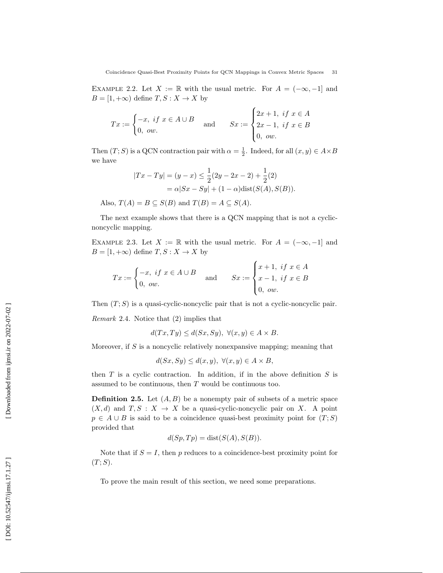EXAMPLE 2.2. Let  $X := \mathbb{R}$  with the usual metric. For  $A = (-\infty, -1]$  and  $B = [1, +\infty)$  define  $T, S: X \to X$  by

$$
Tx := \begin{cases} -x, & \text{if } x \in A \cup B \\ 0, & \text{ow.} \end{cases} \quad \text{and} \quad Sx := \begin{cases} 2x + 1, & \text{if } x \in A \\ 2x - 1, & \text{if } x \in B \\ 0, & \text{ow.} \end{cases}
$$

Then  $(T; S)$  is a QCN contraction pair with  $\alpha = \frac{1}{2}$ . Indeed, for all  $(x, y) \in A \times B$ we have

$$
|Tx - Ty| = (y - x) \le \frac{1}{2}(2y - 2x - 2) + \frac{1}{2}(2)
$$
  
=  $\alpha |Sx - Sy| + (1 - \alpha) \text{dist}(S(A), S(B)).$ 

Also,  $T(A) = B \subseteq S(B)$  and  $T(B) = A \subseteq S(A)$ .

The next example shows that there is a QCN mapping that is not a cyclicnoncyclic mapping.

EXAMPLE 2.3. Let  $X := \mathbb{R}$  with the usual metric. For  $A = (-\infty, -1]$  and  $B = [1, +\infty)$  define  $T, S: X \to X$  by

$$
Tx := \begin{cases} -x, & \text{if } x \in A \cup B \\ 0, & \text{ow.} \end{cases} \quad \text{and} \quad Sx := \begin{cases} x+1, & \text{if } x \in A \\ x-1, & \text{if } x \in B \\ 0, & \text{ow.} \end{cases}
$$

Then  $(T; S)$  is a quasi-cyclic-noncyclic pair that is not a cyclic-noncyclic pair.

Remark 2.4 . Notice that (2) implies that

$$
d(Tx, Ty) \le d(Sx, Sy), \ \forall (x, y) \in A \times B.
$$

Moreover, if S is a noncyclic relatively nonexpansive mapping; meaning that

$$
d(Sx, Sy) \le d(x, y), \ \forall (x, y) \in A \times B,
$$

then  $T$  is a cyclic contraction. In addition, if in the above definition  $S$  is assumed to be continuous, then T would be continuous too.

**Definition 2.5.** Let  $(A, B)$  be a nonempty pair of subsets of a metric space  $(X, d)$  and  $T, S: X \to X$  be a quasi-cyclic-noncyclic pair on X. A point  $p \in A \cup B$  is said to be a coincidence quasi-best proximity point for  $(T; S)$ provided that

$$
d(Sp, Tp) = dist(S(A), S(B)).
$$

Note that if  $S = I$ , then p reduces to a coincidence-best proximity point for  $(T;S).$ 

To prove the main result of this section, we need some preparations.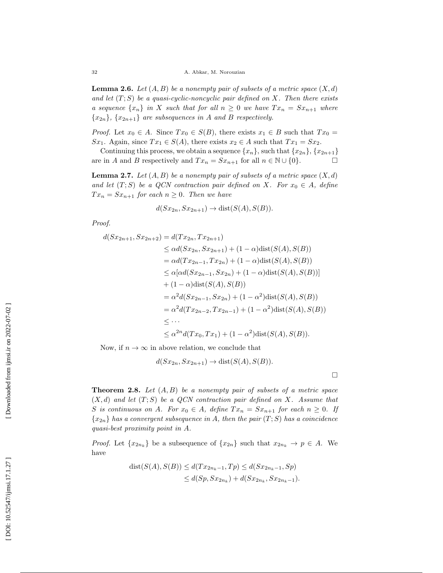**Lemma 2.6.** Let  $(A, B)$  be a nonempty pair of subsets of a metric space  $(X, d)$ and let  $(T; S)$  be a quasi-cyclic-noncyclic pair defined on X. Then there exists a sequence  $\{x_n\}$  in X such that for all  $n \geq 0$  we have  $Tx_n = Sx_{n+1}$  where  $\{x_{2n}\},\{x_{2n+1}\}\$ are subsequences in A and B respectively.

*Proof.* Let  $x_0 \in A$ . Since  $Tx_0 \in S(B)$ , there exists  $x_1 \in B$  such that  $Tx_0 =$ Sx<sub>1</sub>. Again, since  $Tx_1 \in S(A)$ , there exists  $x_2 \in A$  such that  $Tx_1 = Sx_2$ .

Continuing this process, we obtain a sequence  $\{x_n\}$ , such that  $\{x_{2n}\}, \{x_{2n+1}\}$ are in A and B respectively and  $Tx_n = Sx_{n+1}$  for all  $n \in \mathbb{N} \cup \{0\}$ .  $\Box$ 

**Lemma 2.7.** Let  $(A, B)$  be a nonempty pair of subsets of a metric space  $(X, d)$ and let  $(T; S)$  be a QCN contraction pair defined on X. For  $x_0 \in A$ , define  $Tx_n = Sx_{n+1}$  for each  $n \geq 0$ . Then we have

$$
d(Sx_{2n}, Sx_{2n+1}) \to \text{dist}(S(A), S(B)).
$$

Proof.

$$
d(Sx_{2n+1}, Sx_{2n+2}) = d(Tx_{2n}, Tx_{2n+1})
$$
  
\n
$$
\leq \alpha d(Sx_{2n}, Sx_{2n+1}) + (1 - \alpha) \text{dist}(S(A), S(B))
$$
  
\n
$$
= \alpha d(Tx_{2n-1}, Tx_{2n}) + (1 - \alpha) \text{dist}(S(A), S(B))
$$
  
\n
$$
\leq \alpha [\alpha d(Sx_{2n-1}, Sx_{2n}) + (1 - \alpha) \text{dist}(S(A), S(B))]
$$
  
\n
$$
+ (1 - \alpha) \text{dist}(S(A), S(B))
$$
  
\n
$$
= \alpha^2 d(Sx_{2n-1}, Sx_{2n}) + (1 - \alpha^2) \text{dist}(S(A), S(B))
$$
  
\n
$$
= \alpha^2 d(Tx_{2n-2}, Tx_{2n-1}) + (1 - \alpha^2) \text{dist}(S(A), S(B))
$$
  
\n
$$
\leq \cdots
$$
  
\n
$$
\leq \alpha^{2n} d(Tx_0, Tx_1) + (1 - \alpha^2) \text{dist}(S(A), S(B)).
$$

Now, if  $n \to \infty$  in above relation, we conclude that

$$
d(Sx_{2n}, Sx_{2n+1}) \to \text{dist}(S(A), S(B)).
$$

 $\Box$ 

**Theorem 2.8.** Let  $(A, B)$  be a nonempty pair of subsets of a metric space  $(X, d)$  and let  $(T, S)$  be a QCN contraction pair defined on X. Assume that S is continuous on A. For  $x_0 \in A$ , define  $Tx_n = Sx_{n+1}$  for each  $n \geq 0$ . If  $\{x_{2n}\}\$  has a convergent subsequence in A, then the pair  $(T;S)$  has a coincidence quasi-best proximity point in A .

*Proof.* Let  $\{x_{2n_k}\}\)$  be a subsequence of  $\{x_{2n}\}\)$  such that  $x_{2n_k} \to p \in A$ . We have

$$
dist(S(A), S(B)) \le d(Tx_{2n_k-1}, Tp) \le d(Sx_{2n_k-1}, Sp)
$$
  

$$
\le d(Sp, Sx_{2n_k}) + d(Sx_{2n_k}, Sx_{2n_k-1}).
$$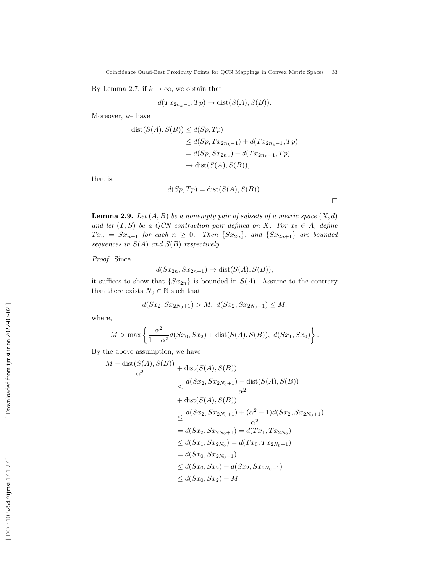Coincidence Quasi-Best Proximity Points for QCN Mappings in Convex Metric Spaces 33

By Lemma 2.7, if  $k \to \infty$ , we obtain that

$$
d(Tx_{2n_k-1}, Tp) \to \text{dist}(S(A), S(B)).
$$

Moreover, we have

$$
dist(S(A), S(B)) \le d(Sp, Tp)
$$
  
\n
$$
\le d(Sp, Tx_{2n_k-1}) + d(Tx_{2n_k-1}, Tp)
$$
  
\n
$$
= d(Sp, Sx_{2n_k}) + d(Tx_{2n_k-1}, Tp)
$$
  
\n
$$
\rightarrow dist(S(A), S(B)),
$$

that is,

$$
d(Sp, Tp) = dist(S(A), S(B)).
$$

**Lemma 2.9.** Let  $(A, B)$  be a nonempty pair of subsets of a metric space  $(X, d)$ and let  $(T; S)$  be a QCN contraction pair defined on X. For  $x_0 \in A$ , define  $Tx_n = Sx_{n+1}$  for each  $n \geq 0$ . Then  $\{Sx_{2n}\}\$ , and  $\{Sx_{2n+1}\}\$  are bounded sequences in  $S(A)$  and  $S(B)$  respectively.

Proof. Since

$$
d(Sx_{2n}, Sx_{2n+1}) \to \text{dist}(S(A), S(B)),
$$

it suffices to show that  $\{Sx_{2n}\}\$ is bounded in  $S(A)$ . Assume to the contrary that there exists  $N_0 \in \mathbb{N}$  such that

$$
d(Sx_2, Sx_{2N_0+1}) > M, d(Sx_2, Sx_{2N_0-1}) \le M,
$$

where,

$$
M > \max \left\{ \frac{\alpha^2}{1 - \alpha^2} d(Sx_0, Sx_2) + \text{dist}(S(A), S(B)), d(Sx_1, Sx_0) \right\}.
$$

By the above assumption, we have

$$
\frac{M - \text{dist}(S(A), S(B))}{\alpha^2} + \text{dist}(S(A), S(B))
$$
\n
$$
< \frac{d(Sx_2, Sz_{2N_0+1}) - \text{dist}(S(A), S(B))}{\alpha^2}
$$
\n
$$
+ \text{dist}(S(A), S(B))
$$
\n
$$
\leq \frac{d(Sx_2, Sz_{2N_0+1}) + (\alpha^2 - 1)d(Sx_2, Sx_{2N_0+1})}{\alpha^2}
$$
\n
$$
= d(Sx_2, Sz_{2N_0+1}) = d(Tx_1, Tx_{2N_0})
$$
\n
$$
\leq d(Sx_1, Sx_{2N_0}) = d(Tx_0, Tx_{2N_0-1})
$$
\n
$$
= d(Sx_0, Sx_{2N_0-1})
$$
\n
$$
\leq d(Sx_0, Sx_2) + d(Sx_2, Sx_{2N_0-1})
$$
\n
$$
\leq d(Sx_0, Sx_2) + M.
$$

 $\Box$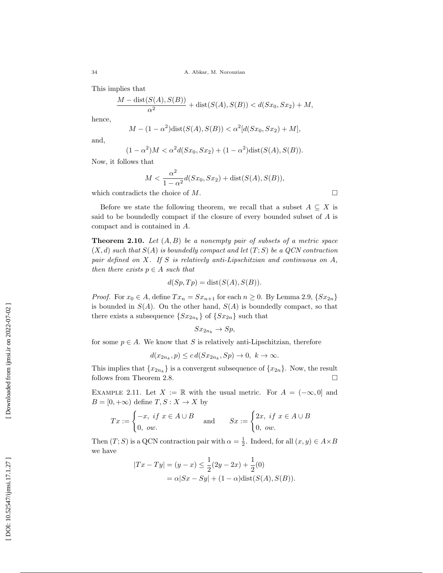This implies that

$$
\frac{M - \text{dist}(S(A), S(B))}{\alpha^2} + \text{dist}(S(A), S(B)) < d(Sx_0, Sx_2) + M,
$$

hence,

$$
M - (1 - \alpha^2) \text{dist}(S(A), S(B)) < \alpha^2 [d(Sx_0, Sx_2) + M],
$$

and,

$$
(1 - \alpha^2)M < \alpha^2 d(Sx_0, Sx_2) + (1 - \alpha^2) \text{dist}(S(A), S(B)).
$$

Now, it follows that

$$
M < \frac{\alpha^2}{1 - \alpha^2} d(Sx_0, Sx_2) + \text{dist}(S(A), S(B)),
$$

which contradicts the choice of M.

Before we state the following theorem, we recall that a subset  $A \subseteq X$  is said to be boundedly compact if the closure of every bounded subset of A is compact and is contained in A .

**Theorem 2.10.** Let  $(A, B)$  be a nonempty pair of subsets of a metric space  $(X, d)$  such that  $S(A)$  is boundedly compact and let  $(T, S)$  be a QCN contraction pair defined on X. If S is relatively anti-Lipschitzian and continuous on A, then there exists  $p \in A$  such that

$$
d(Sp, Tp) = \text{dist}(S(A), S(B)).
$$

*Proof.* For  $x_0 \in A$ , define  $Tx_n = Sx_{n+1}$  for each  $n \ge 0$ . By Lemma 2.9,  $\{Sx_{2n}\}\$ is bounded in  $S(A)$ . On the other hand,  $S(A)$  is boundedly compact, so that there exists a subsequence  $\{Sx_{2n_k}\}\$  of  $\{Sx_{2n}\}\$  such that

$$
Sx_{2n_k} \to Sp,
$$

for some  $p \in A$ . We know that S is relatively anti-Lipschitzian, therefore

 $d(x_{2n_k}, p) \leq c d(Sx_{2n_k}, Sp) \to 0, k \to \infty.$ 

This implies that  $\{x_{2n_k}\}\$ is a convergent subsequence of  $\{x_{2n}\}\$ . Now, the result follows from Theorem 2.8.  $\Box$ 

EXAMPLE 2.11. Let  $X := \mathbb{R}$  with the usual metric. For  $A = (-\infty, 0]$  and  $B = [0, +\infty)$  define  $T, S: X \to X$  by

$$
Tx := \begin{cases} -x, & \text{if } x \in A \cup B \\ 0, & \text{ow.} \end{cases} \quad \text{and} \quad Sx := \begin{cases} 2x, & \text{if } x \in A \cup B \\ 0, & \text{ow.} \end{cases}
$$

Then  $(T; S)$  is a QCN contraction pair with  $\alpha = \frac{1}{2}$ . Indeed, for all  $(x, y) \in A \times B$ we have

$$
|Tx - Ty| = (y - x) \le \frac{1}{2}(2y - 2x) + \frac{1}{2}(0)
$$
  
=  $\alpha |Sx - Sy| + (1 - \alpha) \text{dist}(S(A), S(B)).$ 

 $\Box$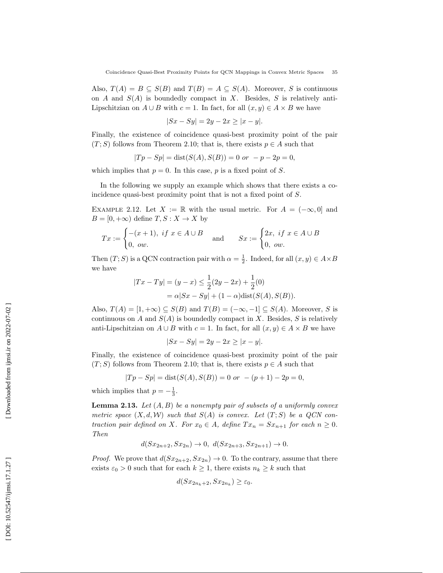Also,  $T(A) = B \subseteq S(B)$  and  $T(B) = A \subseteq S(A)$ . Moreover, S is continuous on A and  $S(A)$  is boundedly compact in X. Besides, S is relatively anti-Lipschitzian on  $A \cup B$  with  $c = 1$ . In fact, for all  $(x, y) \in A \times B$  we have

$$
|Sx - Sy| = 2y - 2x \ge |x - y|.
$$

Finally, the existence of coincidence quasi-best proximity point of the pair  $(T; S)$  follows from Theorem 2.10; that is, there exists  $p \in A$  such that

$$
|Tp - Sp| = dist(S(A), S(B)) = 0 \text{ or } -p - 2p = 0,
$$

which implies that  $p = 0$ . In this case, p is a fixed point of S.

In the following we supply an example which shows that there exists a coincidence quasi-best proximity point that is not a fixed point of S.

EXAMPLE 2.12. Let  $X := \mathbb{R}$  with the usual metric. For  $A = (-\infty, 0]$  and  $B = [0, +\infty)$  define  $T, S: X \to X$  by

$$
Tx := \begin{cases} -(x+1), & \text{if } x \in A \cup B \\ 0, & \text{out.} \end{cases} \quad \text{and} \quad Sx := \begin{cases} 2x, & \text{if } x \in A \cup B \\ 0, & \text{out.} \end{cases}
$$

Then  $(T; S)$  is a QCN contraction pair with  $\alpha = \frac{1}{2}$ . Indeed, for all  $(x, y) \in A \times B$ we have

$$
|Tx - Ty| = (y - x) \le \frac{1}{2}(2y - 2x) + \frac{1}{2}(0)
$$
  
=  $\alpha |Sx - Sy| + (1 - \alpha) \text{dist}(S(A), S(B)).$ 

Also,  $T(A) = [1, +\infty) \subseteq S(B)$  and  $T(B) = (-\infty, -1] \subseteq S(A)$ . Moreover, S is continuous on A and  $S(A)$  is boundedly compact in X. Besides, S is relatively anti-Lipschitzian on  $A \cup B$  with  $c = 1$ . In fact, for all  $(x, y) \in A \times B$  we have

$$
|Sx - Sy| = 2y - 2x \ge |x - y|.
$$

Finally, the existence of coincidence quasi-best proximity point of the pair  $(T; S)$  follows from Theorem 2.10; that is, there exists  $p \in A$  such that

$$
|Tp - Sp| = dist(S(A), S(B)) = 0 \text{ or } -(p+1) - 2p = 0,
$$

which implies that  $p = -\frac{1}{3}$ .

**Lemma 2.13.** Let  $(A, B)$  be a nonempty pair of subsets of a uniformly convex metric space  $(X, d, W)$  such that  $S(A)$  is convex. Let  $(T; S)$  be a QCN contraction pair defined on X. For  $x_0 \in A$ , define  $Tx_n = Sx_{n+1}$  for each  $n \geq 0$ . Then

$$
d(Sx_{2n+2}, Sx_{2n}) \to 0, d(Sx_{2n+3}, Sx_{2n+1}) \to 0.
$$

*Proof.* We prove that  $d(Sx_{2n+2}, Sx_{2n}) \to 0$ . To the contrary, assume that there exists  $\varepsilon_0 > 0$  such that for each  $k \geq 1$ , there exists  $n_k \geq k$  such that

$$
d(Sx_{2n_k+2}, Sx_{2n_k}) \geq \varepsilon_0.
$$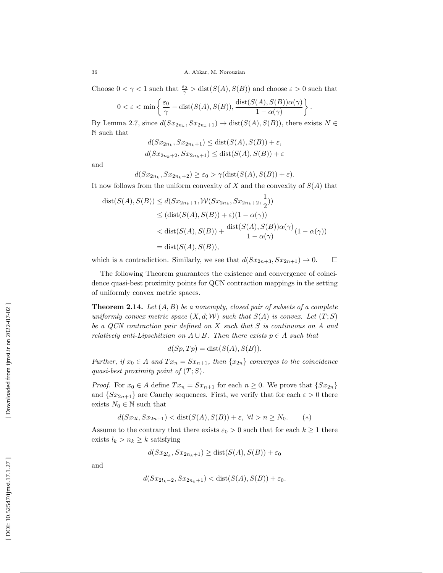Choose  $0 < \gamma < 1$  such that  $\frac{\varepsilon_0}{\gamma} > \text{dist}(S(A), S(B))$  and choose  $\varepsilon > 0$  such that

.

$$
0 < \varepsilon < \min\left\{\frac{\varepsilon_0}{\gamma} - \text{dist}(S(A), S(B)), \frac{\text{dist}(S(A), S(B))\alpha(\gamma)}{1 - \alpha(\gamma)}\right\}
$$

By Lemma 2.7, since  $d(Sx_{2n_k}, Sx_{2n_k+1}) \to \text{dist}(S(A), S(B))$ , there exists  $N \in$ N such that

$$
d(Sx_{2n_k}, Sx_{2n_k+1}) \leq \text{dist}(S(A), S(B)) + \varepsilon,
$$
  

$$
d(Sx_{2n_k+2}, Sx_{2n_k+1}) \leq \text{dist}(S(A), S(B)) + \varepsilon
$$

and

$$
d(Sx_{2n_k}, Sx_{2n_k+2}) \ge \varepsilon_0 > \gamma(\text{dist}(S(A), S(B)) + \varepsilon).
$$

It now follows from the uniform convexity of  $X$  and the convexity of  $S(A)$  that

$$
dist(S(A), S(B)) \leq d(Sx_{2n_k+1}, \mathcal{W}(Sx_{2n_k}, Sx_{2n_k+2}, \frac{1}{2}))
$$
  
\n
$$
\leq (dist(S(A), S(B)) + \varepsilon)(1 - \alpha(\gamma))
$$
  
\n
$$
< dist(S(A), S(B)) + \frac{dist(S(A), S(B))\alpha(\gamma)}{1 - \alpha(\gamma)}(1 - \alpha(\gamma))
$$
  
\n
$$
= dist(S(A), S(B)),
$$

which is a contradiction. Similarly, we see that  $d(Sx_{2n+3}, Sx_{2n+1}) \to 0$ .  $\Box$ 

The following Theorem guarantees the existence and convergence of coincidence quasi-best proximity points for QCN contraction mappings in the setting of uniformly convex metric spaces.

**Theorem 2.14.** Let  $(A, B)$  be a nonempty, closed pair of subsets of a complete uniformly convex metric space  $(X, d; W)$  such that  $S(A)$  is convex. Let  $(T; S)$ be a QCN contraction pair defined on X such that S is continuous on A and relatively anti-Lipschitzian on  $A \cup B$ . Then there exists  $p \in A$  such that

$$
d(Sp, Tp) = dist(S(A), S(B)).
$$

Further, if  $x_0 \in A$  and  $Tx_n = Sx_{n+1}$ , then  $\{x_{2n}\}\$  converges to the coincidence quasi-best proximity point of  $(T;S)$ .

*Proof.* For  $x_0 \in A$  define  $Tx_n = Sx_{n+1}$  for each  $n \ge 0$ . We prove that  $\{Sx_{2n}\}\$ and  $\{Sx_{2n+1}\}\$  are Cauchy sequences. First, we verify that for each  $\varepsilon > 0$  there exists  $N_0 \in \mathbb{N}$  such that

$$
d(Sx_{2l}, Sx_{2n+1}) < \text{dist}(S(A), S(B)) + \varepsilon, \ \forall l > n \ge N_0. \tag{*}
$$

Assume to the contrary that there exists  $\varepsilon_0 > 0$  such that for each  $k \geq 1$  there exists  $l_k > n_k \geq k$  satisfying

$$
d(Sx_{2l_k}, Sx_{2n_k+1}) \ge \text{dist}(S(A), S(B)) + \varepsilon_0
$$

and

$$
d(Sx_{2l_k-2}, Sx_{2n_k+1}) < \text{dist}(S(A), S(B)) + \varepsilon_0.
$$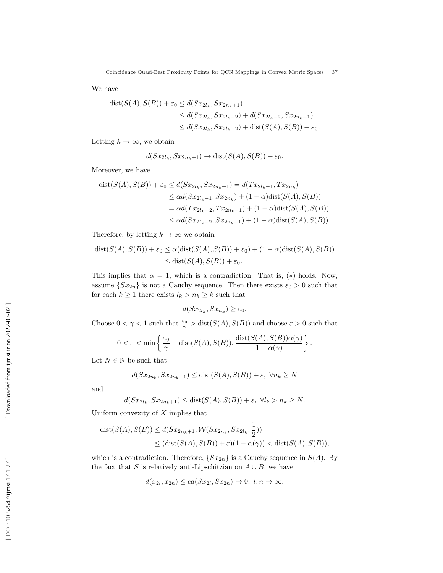We have

$$
dist(S(A), S(B)) + \varepsilon_0 \le d(Sx_{2l_k}, Sz_{2n_k+1})
$$
  
\n
$$
\le d(Sx_{2l_k}, Sz_{2l_k-2}) + d(Sx_{2l_k-2}, Sz_{2n_k+1})
$$
  
\n
$$
\le d(Sx_{2l_k}, Sz_{2l_k-2}) + dist(S(A), S(B)) + \varepsilon_0.
$$

Letting  $k \to \infty$ , we obtain

$$
d(Sx_{2l_k}, Sx_{2n_k+1}) \to \text{dist}(S(A), S(B)) + \varepsilon_0.
$$

Moreover, we have

$$
dist(S(A), S(B)) + \varepsilon_0 \le d(Sx_{2l_k}, Sx_{2n_k+1}) = d(Tx_{2l_k-1}, Tx_{2n_k})
$$
  
\n
$$
\le \alpha d(Sx_{2l_k-1}, Sx_{2n_k}) + (1 - \alpha)dist(S(A), S(B))
$$
  
\n
$$
= \alpha d(Tx_{2l_k-2}, Tx_{2n_k-1}) + (1 - \alpha)dist(S(A), S(B))
$$
  
\n
$$
\le \alpha d(Sx_{2l_k-2}, Sx_{2n_k-1}) + (1 - \alpha)dist(S(A), S(B)).
$$

Therefore, by letting  $k \to \infty$  we obtain

$$
dist(S(A), S(B)) + \varepsilon_0 \le \alpha(dt(S(A), S(B)) + \varepsilon_0) + (1 - \alpha)dist(S(A), S(B))
$$
  

$$
\le dist(S(A), S(B)) + \varepsilon_0.
$$

This implies that  $\alpha = 1$ , which is a contradiction. That is, (\*) holds. Now, assume  $\{Sx_{2n}\}\$ is not a Cauchy sequence. Then there exists  $\varepsilon_0 > 0$  such that for each  $k \geq 1$  there exists  $l_k > n_k \geq k$  such that

$$
d(Sx_{2l_k}, Sx_{n_k}) \geq \varepsilon_0.
$$

Choose  $0 < \gamma < 1$  such that  $\frac{\varepsilon_0}{\gamma} > \text{dist}(S(A), S(B))$  and choose  $\varepsilon > 0$  such that

$$
0 < \varepsilon < \min\left\{\frac{\varepsilon_0}{\gamma} - \text{dist}(S(A), S(B)), \frac{\text{dist}(S(A), S(B))\alpha(\gamma)}{1 - \alpha(\gamma)}\right\}.
$$

Let  $N \in \mathbb{N}$  be such that

$$
d(Sx_{2n_k}, Sx_{2n_k+1}) \leq \text{dist}(S(A), S(B)) + \varepsilon, \ \forall n_k \geq N
$$

and

$$
d(Sx_{2l_k}, Sx_{2n_k+1}) \leq \text{dist}(S(A), S(B)) + \varepsilon, \ \forall l_k > n_k \geq N.
$$

Uniform convexity of  $X$  implies that

$$
dist(S(A), S(B)) \leq d(Sx_{2n_k+1}, \mathcal{W}(Sx_{2n_k}, Sx_{2l_k}, \frac{1}{2}))
$$
  
 
$$
\leq (dist(S(A), S(B)) + \varepsilon)(1 - \alpha(\gamma)) < dist(S(A), S(B)),
$$

which is a contradiction. Therefore,  $\{Sx_{2n}\}\$ is a Cauchy sequence in  $S(A)$ . By the fact that S is relatively anti-Lipschitzian on  $A \cup B$ , we have

$$
d(x_{2l}, x_{2n}) \leq cd(Sx_{2l}, Sx_{2n}) \to 0, l, n \to \infty,
$$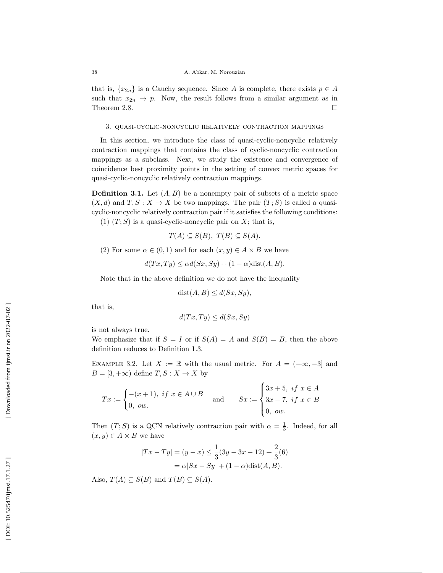that is,  $\{x_{2n}\}\$ is a Cauchy sequence. Since A is complete, there exists  $p \in A$ such that  $x_{2n} \to p$ . Now, the result follows from a similar argument as in Theorem 2.8.  $\Box$ 

#### 3. quasi-cyclic-noncyclic relatively contraction mappings

In this section, we introduce the class of quasi-cyclic-noncyclic relatively contraction mappings that contains the class of cyclic-noncyclic contraction mappings as a subclass. Next, we study the existence and convergence of coincidence best proximity points in the setting of convex metric spaces for quasi-cyclic-noncyclic relatively contraction mappings.

**Definition 3.1.** Let  $(A, B)$  be a nonempty pair of subsets of a metric space  $(X, d)$  and  $T, S: X \to X$  be two mappings. The pair  $(T; S)$  is called a quasicyclic-noncyclic relatively contraction pair if it satisfies the following conditions: (1)  $(T; S)$  is a quasi-cyclic-noncyclic pair on X; that is,

$$
T(A) \subseteq S(B), T(B) \subseteq S(A).
$$

(2) For some  $\alpha \in (0,1)$  and for each  $(x,y) \in A \times B$  we have

$$
d(Tx, Ty) \le \alpha d(Sx, Sy) + (1 - \alpha) \text{dist}(A, B).
$$

Note that in the above definition we do not have the inequality

$$
dist(A, B) \le d(Sx, Sy),
$$

that is,

$$
d(Tx, Ty) \le d(Sx, Sy)
$$

is not always true.

We emphasize that if  $S = I$  or if  $S(A) = A$  and  $S(B) = B$ , then the above definition reduces to Definition 1.3.

EXAMPLE 3.2. Let  $X := \mathbb{R}$  with the usual metric. For  $A = (-\infty, -3]$  and  $B = [3, +\infty)$  define  $T, S: X \to X$  by

$$
Tx := \begin{cases} -(x+1), & \text{if } x \in A \cup B \\ 0, & \text{out.} \end{cases} \text{ and } Sx := \begin{cases} 3x+5, & \text{if } x \in A \\ 3x-7, & \text{if } x \in B \\ 0, & \text{out.} \end{cases}
$$

Then  $(T; S)$  is a QCN relatively contraction pair with  $\alpha = \frac{1}{3}$ . Indeed, for all  $(x, y) \in A \times B$  we have

$$
|Tx - Ty| = (y - x) \le \frac{1}{3}(3y - 3x - 12) + \frac{2}{3}(6)
$$
  
=  $\alpha |Sx - Sy| + (1 - \alpha) \text{dist}(A, B).$ 

Also,  $T(A) \subseteq S(B)$  and  $T(B) \subseteq S(A)$ .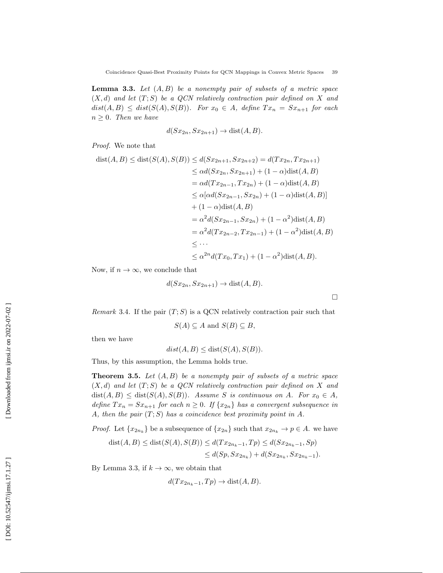**Lemma 3.3.** Let  $(A, B)$  be a nonempty pair of subsets of a metric space  $(X, d)$  and let  $(T, S)$  be a QCN relatively contraction pair defined on X and  $dist(A, B) \leq dist(S(A), S(B)).$  For  $x_0 \in A$ , define  $Tx_n = Sx_{n+1}$  for each  $n \geq 0$ . Then we have

$$
d(Sx_{2n}, Sx_{2n+1}) \to \text{dist}(A, B).
$$

Proof. We note that

 $\sim$  ) and  $\sim$  100  $\mu$ 

dist(A, B) 
$$
\leq
$$
 dist $(S(A), S(B)) \leq d(Sx_{2n+1}, Sx_{2n+2}) = d(Tx_{2n}, Tx_{2n+1})$   
\n $\leq \alpha d(Sx_{2n}, Sx_{2n+1}) + (1 - \alpha)dist(A, B)$   
\n $= \alpha d(Tx_{2n-1}, Tx_{2n}) + (1 - \alpha)dist(A, B)$   
\n $\leq \alpha [\alpha d(Sx_{2n-1}, Sx_{2n}) + (1 - \alpha)dist(A, B)]$   
\n $+ (1 - \alpha)dist(A, B)$   
\n $= \alpha^2 d(Sx_{2n-1}, Sx_{2n}) + (1 - \alpha^2)dist(A, B)$   
\n $= \alpha^2 d(Tx_{2n-2}, Tx_{2n-1}) + (1 - \alpha^2)dist(A, B)$   
\n $\leq \cdots$   
\n $\leq \alpha^{2n} d(Tx_0, Tx_1) + (1 - \alpha^2)dist(A, B).$ 

Now, if  $n \to \infty$ , we conclude that

$$
d(Sx_{2n}, Sx_{2n+1}) \to \text{dist}(A, B).
$$

*Remark* 3.4. If the pair  $(T; S)$  is a QCN relatively contraction pair such that

$$
S(A) \subseteq A \text{ and } S(B) \subseteq B,
$$

then we have

 $dist(A, B) \leq dist(S(A), S(B)).$ 

Thus, by this assumption, the Lemma holds true.

**Theorem 3.5.** Let  $(A, B)$  be a nonempty pair of subsets of a metric space  $(X, d)$  and let  $(T, S)$  be a QCN relatively contraction pair defined on X and  $dist(A, B) \leq dist(S(A), S(B)).$  Assume S is continuous on A. For  $x_0 \in A$ , define  $Tx_n = Sx_{n+1}$  for each  $n \geq 0$ . If  $\{x_{2n}\}\$  has a convergent subsequence in A, then the pair  $(T; S)$  has a coincidence best proximity point in A.

*Proof.* Let  $\{x_{2n_k}\}\)$  be a subsequence of  $\{x_{2n}\}\)$  such that  $x_{2n_k}\to p\in A$ . we have

$$
dist(A, B) \leq dist(S(A), S(B)) \leq d(Tx_{2n_k - 1}, Tp) \leq d(Sx_{2n_k - 1}, Sp)
$$
  

$$
\leq d(Sp, Sx_{2n_k}) + d(Sx_{2n_k}, Sx_{2n_k - 1}).
$$

By Lemma 3.3, if  $k \to \infty$ , we obtain that

$$
d(Tx_{2n_k-1},Tp) \to \text{dist}(A, B).
$$

 $\Box$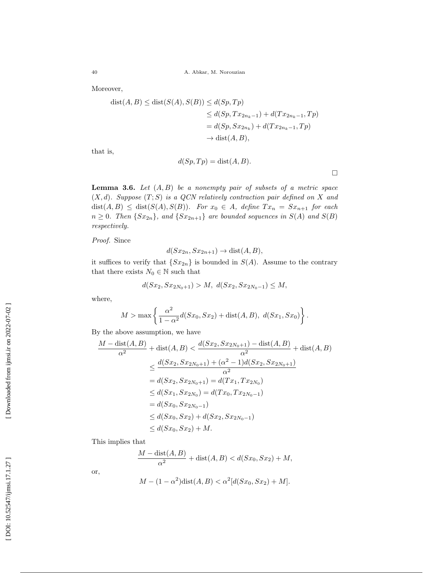Moreover,

$$
dist(A, B) \leq dist(S(A), S(B)) \leq d(Sp, Tp)
$$
  
\n
$$
\leq d(Sp, Tx_{2n_k-1}) + d(Tx_{2n_k-1}, Tp)
$$
  
\n
$$
= d(Sp, Sx_{2n_k}) + d(Tx_{2n_k-1}, Tp)
$$
  
\n
$$
\rightarrow dist(A, B),
$$

that is,

$$
d(Sp, Tp) = \text{dist}(A, B).
$$

 $\Box$ 

**Lemma 3.6.** Let  $(A, B)$  be a nonempty pair of subsets of a metric space  $(X, d)$ . Suppose  $(T, S)$  is a QCN relatively contraction pair defined on X and  $dist(A, B) \leq dist(S(A), S(B)).$  For  $x_0 \in A$ , define  $Tx_n = Sx_{n+1}$  for each  $n \geq 0$ . Then  $\{Sx_{2n}\}\$ , and  $\{Sx_{2n+1}\}$  are bounded sequences in  $S(A)$  and  $S(B)$ respectively.

Proof. Since

$$
d(Sx_{2n}, Sx_{2n+1}) \to \text{dist}(A, B),
$$

it suffices to verify that  $\{Sx_{2n}\}\$ is bounded in  $S(A)$ . Assume to the contrary that there exists  $N_0 \in \mathbb{N}$  such that

$$
d(Sx_2, Sx_{2N_0+1}) > M, \ d(Sx_2, Sx_{2N_0-1}) \le M,
$$

where,

$$
M > \max \left\{ \frac{\alpha^2}{1 - \alpha^2} d(Sx_0, Sx_2) + \text{dist}(A, B), d(Sx_1, Sx_0) \right\}.
$$

By the above assumption, we have

$$
\frac{M - \text{dist}(A, B)}{\alpha^2} + \text{dist}(A, B) < \frac{d(Sx_2, Sx_{2N_0+1}) - \text{dist}(A, B)}{\alpha^2} + \text{dist}(A, B)
$$
\n
$$
\leq \frac{d(Sx_2, Sx_{2N_0+1}) + (\alpha^2 - 1)d(Sx_2, Sx_{2N_0+1})}{\alpha^2}
$$
\n
$$
= d(Sx_2, Sx_{2N_0+1}) = d(Tx_1, Tx_{2N_0})
$$
\n
$$
\leq d(Sx_1, Sx_{2N_0}) = d(Tx_0, Tx_{2N_0-1})
$$
\n
$$
= d(Sx_0, Sx_{2N_0-1})
$$
\n
$$
\leq d(Sx_0, Sx_2) + d(Sx_2, Sx_{2N_0-1})
$$
\n
$$
\leq d(Sx_0, Sx_2) + M.
$$

This implies that

$$
\frac{M - \text{dist}(A, B)}{\alpha^2} + \text{dist}(A, B) < d(Sx_0, Sx_2) + M,
$$

or,

$$
M - (1 - \alpha^2) \text{dist}(A, B) < \alpha^2 [d(Sx_0, Sx_2) + M].
$$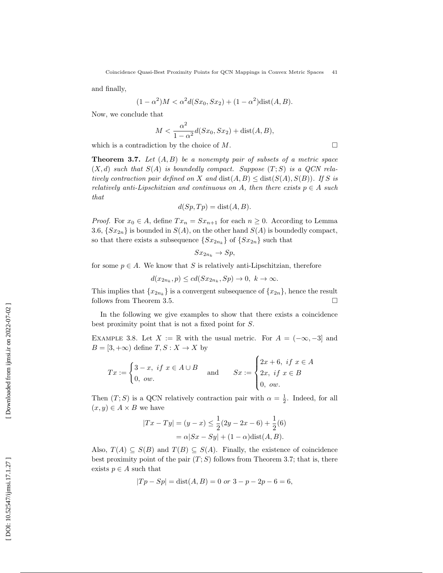and finally,

$$
(1 - \alpha^2)M < \alpha^2 d(Sx_0, Sx_2) + (1 - \alpha^2) \text{dist}(A, B).
$$

Now, we conclude that

$$
M < \frac{\alpha^2}{1 - \alpha^2} d(Sx_0, Sx_2) + \text{dist}(A, B),
$$

 $\Box$ 

which is a contradiction by the choice of M.

**Theorem 3.7.** Let  $(A, B)$  be a nonempty pair of subsets of a metric space  $(X, d)$  such that  $S(A)$  is boundedly compact. Suppose  $(T, S)$  is a QCN relatively contraction pair defined on X and  $dist(A, B) \leq dist(S(A), S(B))$ . If S is relatively anti-Lipschitzian and continuous on A, then there exists  $p \in A$  such that

$$
d(Sp, Tp) = \text{dist}(A, B).
$$

*Proof.* For  $x_0 \in A$ , define  $Tx_n = Sx_{n+1}$  for each  $n \geq 0$ . According to Lemma 3.6,  $\{Sx_{2n}\}\$ is bounded in  $S(A)$ , on the other hand  $S(A)$  is boundedly compact, so that there exists a subsequence  $\{Sx_{2n_k}\}\$  of  $\{Sx_{2n}\}\$  such that

$$
Sx_{2n_k} \to Sp,
$$

for some  $p \in A$ . We know that S is relatively anti-Lipschitzian, therefore

$$
d(x_{2n_k}, p) \le cd(Sx_{2n_k}, Sp) \to 0, \ k \to \infty.
$$

This implies that  $\{x_{2n_k}\}\$  is a convergent subsequence of  $\{x_{2n}\}\$ , hence the result follows from Theorem 3.5.  $\Box$ 

In the following we give examples to show that there exists a coincidence best proximity point that is not a fixed point for S .

EXAMPLE 3.8. Let  $X := \mathbb{R}$  with the usual metric. For  $A = (-\infty, -3]$  and  $B = [3, +\infty)$  define  $T, S: X \to X$  by

$$
Tx := \begin{cases} 3-x, & \text{if } x \in A \cup B \\ 0, & \text{ow.} \end{cases} \quad \text{and} \quad Sx := \begin{cases} 2x+6, & \text{if } x \in A \\ 2x, & \text{if } x \in B \\ 0, & \text{ow.} \end{cases}
$$

Then  $(T; S)$  is a QCN relatively contraction pair with  $\alpha = \frac{1}{2}$ . Indeed, for all  $(x, y) \in A \times B$  we have

$$
|Tx - Ty| = (y - x) \le \frac{1}{2}(2y - 2x - 6) + \frac{1}{2}(6)
$$
  
=  $\alpha |Sx - Sy| + (1 - \alpha) \text{dist}(A, B).$ 

Also,  $T(A) \subseteq S(B)$  and  $T(B) \subseteq S(A)$ . Finally, the existence of coincidence best proximity point of the pair  $(T; S)$  follows from Theorem 3.7; that is, there exists  $p \in A$  such that

$$
|Tp - Sp| = dist(A, B) = 0 \text{ or } 3 - p - 2p - 6 = 6,
$$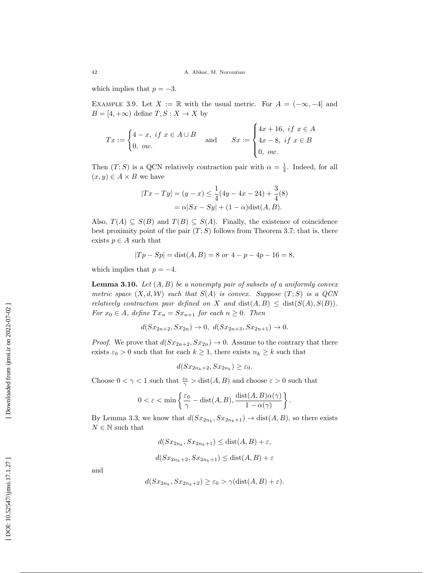which implies that  $p = -3$ .

EXAMPLE 3.9. Let  $X := \mathbb{R}$  with the usual metric. For  $A = (-\infty, -4]$  and  $B = [4, +\infty)$  define  $T, S: X \to X$  by

$$
Tx := \begin{cases} 4 - x, & \text{if } x \in A \cup B \\ 0, & \text{ow.} \end{cases} \text{ and } Sx := \begin{cases} 4x + 16, & \text{if } x \in A \\ 4x - 8, & \text{if } x \in B \\ 0, & \text{ow.} \end{cases}
$$

Then  $(T; S)$  is a QCN relatively contraction pair with  $\alpha = \frac{1}{4}$ . Indeed, for all  $(x, y) \in A \times B$  we have

$$
|Tx - Ty| = (y - x) \le \frac{1}{4}(4y - 4x - 24) + \frac{3}{4}(8)
$$

$$
= \alpha|Sx - Sy| + (1 - \alpha)\text{dist}(A, B).
$$

Also,  $T(A) \subseteq S(B)$  and  $T(B) \subseteq S(A)$ . Finally, the existence of coincidence best proximity point of the pair  $(T; S)$  follows from Theorem 3.7; that is, there exists  $p \in A$  such that

$$
|Tp - Sp| = dist(A, B) = 8 \text{ or } 4 - p - 4p - 16 = 8,
$$

which implies that  $p = -4$ .

**Lemma 3.10.** Let  $(A, B)$  be a nonempty pair of subsets of a uniformly convex metric space  $(X, d, W)$  such that  $S(A)$  is convex. Suppose  $(T; S)$  is a QCN relatively contraction pair defined on X and  $dist(A, B) \leq dist(S(A), S(B)).$ For  $x_0 \in A$ , define  $Tx_n = Sx_{n+1}$  for each  $n \ge 0$ . Then

$$
d(Sx_{2n+2}, Sx_{2n}) \to 0, d(Sx_{2n+3}, Sx_{2n+1}) \to 0.
$$

*Proof.* We prove that  $d(Sx_{2n+2}, Sx_{2n}) \to 0$ . Assume to the contrary that there exists  $\varepsilon_0 > 0$  such that for each  $k \geq 1$ , there exists  $n_k \geq k$  such that

$$
d(Sx_{2n_k+2}, Sx_{2n_k}) \geq \varepsilon_0.
$$

Choose  $0 < \gamma < 1$  such that  $\frac{\varepsilon_0}{\gamma} > \text{dist}(A, B)$  and choose  $\varepsilon > 0$  such that

$$
0<\varepsilon<\min\left\{\frac{\varepsilon_0}{\gamma}-{\rm dist}(A,B),\frac{{\rm dist}(A,B)\alpha(\gamma)}{1-\alpha(\gamma)}\right\}.
$$

By Lemma 3.3, we know that  $d(Sx_{2n_k}, Sz_{2n_k+1}) \to \text{dist}(A, B)$ , so there exists  $N \in \mathbb{N}$  such that

$$
d(Sx_{2n_k}, Sx_{2n_k+1}) \leq \text{dist}(A, B) + \varepsilon,
$$
  

$$
d(Sx_{2n_k+2}, Sx_{2n_k+1}) \leq \text{dist}(A, B) + \varepsilon
$$

and

$$
d(Sx_{2n_k}, Sz_{2n_k+2}) \geq \varepsilon_0 > \gamma(\text{dist}(A, B) + \varepsilon).
$$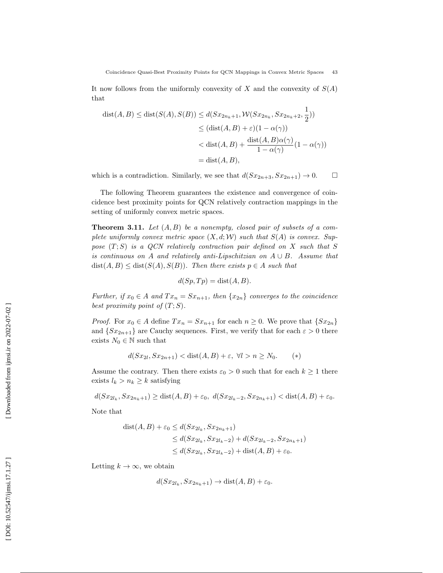It now follows from the uniformly convexity of X and the convexity of  $S(A)$ that

$$
dist(A, B) \leq dist(S(A), S(B)) \leq d(Sx_{2n_k+1}, \mathcal{W}(Sx_{2n_k}, Sx_{2n_k+2}, \frac{1}{2}))
$$
  
\n
$$
\leq (dist(A, B) + \varepsilon)(1 - \alpha(\gamma))
$$
  
\n
$$
< dist(A, B) + \frac{dist(A, B)\alpha(\gamma)}{1 - \alpha(\gamma)}(1 - \alpha(\gamma))
$$
  
\n
$$
= dist(A, B),
$$

which is a contradiction. Similarly, we see that  $d(Sx_{2n+3}, Sx_{2n+1}) \to 0$ .  $\Box$ 

The following Theorem guarantees the existence and convergence of coincidence best proximity points for QCN relatively contraction mappings in the setting of uniformly convex metric spaces.

**Theorem 3.11.** Let  $(A, B)$  be a nonempty, closed pair of subsets of a complete uniformly convex metric space  $(X, d; W)$  such that  $S(A)$  is convex. Suppose  $(T; S)$  is a QCN relatively contraction pair defined on X such that S is continuous on A and relatively anti-Lipschitzian on  $A \cup B$ . Assume that  $dist(A, B) \leq dist(S(A), S(B))$ . Then there exists  $p \in A$  such that

$$
d(Sp, Tp) = \text{dist}(A, B).
$$

Further, if  $x_0 \in A$  and  $Tx_n = Sx_{n+1}$ , then  $\{x_{2n}\}\)$  converges to the coincidence best proximity point of  $(T; S)$ .

*Proof.* For  $x_0 \in A$  define  $Tx_n = Sx_{n+1}$  for each  $n \ge 0$ . We prove that  $\{Sx_{2n}\}\$ and  $\{Sx_{2n+1}\}\$  are Cauchy sequences. First, we verify that for each  $\varepsilon > 0$  there exists  $N_0 \in \mathbb{N}$  such that

$$
d(Sx_{2l}, Sx_{2n+1}) < \text{dist}(A, B) + \varepsilon, \ \forall l > n \ge N_0. \tag{*}
$$

Assume the contrary. Then there exists  $\varepsilon_0 > 0$  such that for each  $k \ge 1$  there exists  $l_k > n_k \geq k$  satisfying

$$
d(Sx_{2l_k}, Sx_{2n_k+1}) \geq \text{dist}(A, B) + \varepsilon_0, \ d(Sx_{2l_k-2}, Sx_{2n_k+1}) < \text{dist}(A, B) + \varepsilon_0.
$$

Note that

$$
dist(A, B) + \varepsilon_0 \le d(Sx_{2l_k}, Sx_{2n_k+1})
$$
  
\n
$$
\le d(Sx_{2l_k}, Sx_{2l_k-2}) + d(Sx_{2l_k-2}, Sx_{2n_k+1})
$$
  
\n
$$
\le d(Sx_{2l_k}, Sx_{2l_k-2}) + dist(A, B) + \varepsilon_0.
$$

Letting  $k \to \infty$ , we obtain

$$
d(Sx_{2l_k}, Sx_{2n_k+1}) \to \text{dist}(A, B) + \varepsilon_0.
$$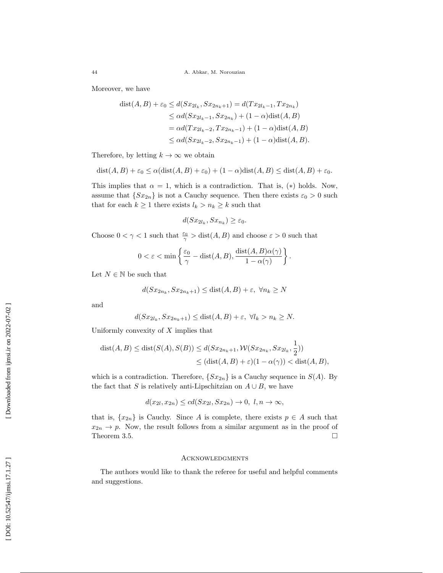Moreover, we have

$$
dist(A, B) + \varepsilon_0 \le d(Sx_{2l_k}, Sx_{2n_k+1}) = d(Tx_{2l_k-1}, Tx_{2n_k})
$$
  
\n
$$
\le \alpha d(Sx_{2l_k-1}, Sx_{2n_k}) + (1 - \alpha)dist(A, B)
$$
  
\n
$$
= \alpha d(Tx_{2l_k-2}, Tx_{2n_k-1}) + (1 - \alpha)dist(A, B)
$$
  
\n
$$
\le \alpha d(Sx_{2l_k-2}, Sx_{2n_k-1}) + (1 - \alpha)dist(A, B).
$$

Therefore, by letting  $k \to \infty$  we obtain

$$
dist(A, B) + \varepsilon_0 \le \alpha dist(A, B) + \varepsilon_0) + (1 - \alpha) dist(A, B) \le dist(A, B) + \varepsilon_0.
$$

This implies that  $\alpha = 1$ , which is a contradiction. That is, (\*) holds. Now, assume that  $\{Sx_{2n}\}\$ is not a Cauchy sequence. Then there exists  $\varepsilon_0 > 0$  such that for each  $k \geq 1$  there exists  $l_k > n_k \geq k$  such that

$$
d(Sx_{2l_k}, Sx_{n_k}) \ge \varepsilon_0.
$$

Choose  $0 < \gamma < 1$  such that  $\frac{\varepsilon_0}{\gamma} > \text{dist}(A, B)$  and choose  $\varepsilon > 0$  such that

$$
0 < \varepsilon < \min\left\{\frac{\varepsilon_0}{\gamma} - \text{dist}(A, B), \frac{\text{dist}(A, B)\alpha(\gamma)}{1 - \alpha(\gamma)}\right\}.
$$

Let  $N \in \mathbb{N}$  be such that

$$
d(Sx_{2n_k}, Sx_{2n_k+1}) \leq \text{dist}(A, B) + \varepsilon, \ \forall n_k \geq N
$$

and

$$
d(Sx_{2l_k}, Sx_{2n_k+1}) \leq \text{dist}(A, B) + \varepsilon, \ \forall l_k > n_k \geq N.
$$

Uniformly convexity of  $X$  implies that

$$
dist(A, B) \leq dist(S(A), S(B)) \leq d(Sx_{2n_k+1}, \mathcal{W}(Sx_{2n_k}, Sx_{2l_k}, \frac{1}{2}))
$$
  

$$
\leq (dist(A, B) + \varepsilon)(1 - \alpha(\gamma)) < dist(A, B),
$$

12

which is a contradiction. Therefore,  $\{Sx_{2n}\}\$ is a Cauchy sequence in  $S(A)$ . By the fact that S is relatively anti-Lipschitzian on  $A \cup B$ , we have

$$
d(x_{2l}, x_{2n}) \le cd(Sx_{2l}, Sx_{2n}) \to 0, l, n \to \infty,
$$

that is,  $\{x_{2n}\}\$ is Cauchy. Since A is complete, there exists  $p \in A$  such that  $x_{2n} \to p$ . Now, the result follows from a similar argument as in the proof of Theorem 3.5.  $\Box$ 

### **ACKNOWLEDGMENTS**

The authors would like to thank the referee for useful and helpful comments and suggestions.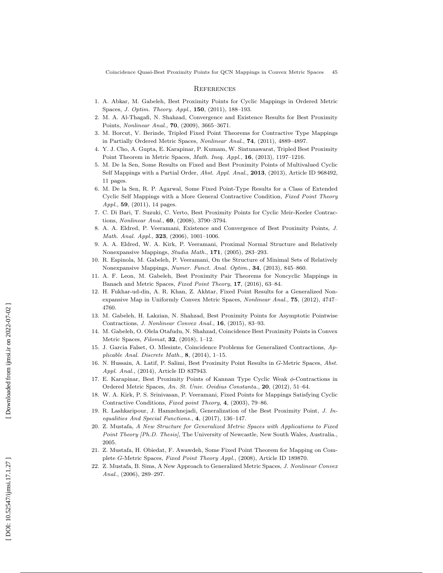#### **REFERENCES**

- 1. A. Abkar, M. Gabeleh, Best Proximity Points for Cyclic Mappings in Ordered Metric Spaces, *J. Optim. Theory. Appl.*, **150**, (2011), 188-193.
- 2. M. A. Al-Thagafi, N. Shahzad, Convergence and Existence Results for Best Proximity Points, *Nonlinear Anal.*, **70**, (2009), 3665-3671.
- 3. M. Borcut, V. Berinde, Tripled Fixed Point Theorems for Contractive Type Mappings in Partially Ordered Metric Spaces, *Nonlinear Anal.*, **74**, (2011), 4889-4897.
- 4. Y. J. Cho, A. Gupta, E. Karapinar, P. Kumam, W. Sintunawarat, Tripled Best Proximity Point Theorem in Metric Spaces, Math. Ineq. Appl., 16, (2013), 1197-1216.
- 5. M. De la Sen, Some Results on Fixed and Best Proximity Points of Multivalued Cyclic Self Mappings with a Partial Order, *Abst. Appl. Anal.*, **2013**, (2013), Article ID 968492, 11 pages.
- 6. M. De la Sen, R. P. Agarwal, Some Fixed Point-Type Results for a Class of Extended Cyclic Self Mappings with a More General Contractive Condition, Fixed Point Theory Appl., **59**, (2011), 14 pages.
- 7. C. Di Bari, T. Suzuki, C. Verto, Best Proximity Points for Cyclic Meir-Keeler Contractions, Nonlinear Anal., 69, (2008), 3790–3794.
- 8. A. A. Eldred, P. Veeramani, Existence and Convergence of Best Proximity Points, J. Math. Anal. Appl., **323**, (2006), 1001-1006.
- 9. A. A. Eldred, W. A. Kirk, P. Veeramani, Proximal Normal Structure and Relatively Nonexpansive Mappings, *Studia Math.*, **171**, (2005), 283-293.
- 10. R. Espinola, M. Gabeleh, P. Veeramani, On the Structure of Minimal Sets of Relatively Nonexpansive Mappings, Numer. Funct. Anal. Optim., 34, (2013), 845-860.
- 11. A. F. Leon, M. Gabeleh, Best Proximity Pair Theorems for Noncyclic Mappings in Banach and Metric Spaces, Fixed Point Theory, 17, (2016), 63-84.
- 12. H. Fukhar-ud-din, A. R. Khan, Z. Akhtar, Fixed Point Results for a Generalized Nonexpansive Map in Uniformly Convex Metric Spaces, Nonlinear Anal., 75, (2012), 4747– 4760.
- 13. M. Gabeleh, H. Lakzian, N. Shahzad, Best Proximity Points for Asymptotic Pointwise Contractions, J. Nonlinear Convex Anal., 16, (2015), 83-93.
- 14. M. Gabeleh, O. Olela Otafudu, N. Shahzad, Coincidence Best Proximity Points in Convex Metric Spaces, *Filomat*, **32**, (2018), 1-12.
- 15. J. Garcia Falset, O. Mlesinte, Coincidence Problems for Generalized Contractions, Applicable Anal. Discrete Math., 8, (2014), 1–15.
- 16. N. Hussain, A. Latif, P. Salimi, Best Proximity Point Results in G-Metric Spaces, Abst. Appl. Anal., (2014), Article ID 837943.
- 17. E. Karapinar, Best Proximity Points of Kannan Type Cyclic Weak φ-Contractions in Ordered Metric Spaces, An. St. Univ. Ovidius Constanta., 20, (2012), 51–64.
- 18. W. A. Kirk, P. S. Srinivasan, P. Veeramani, Fixed Points for Mappings Satisfying Cyclic Contractive Conditions, Fixed point Theory , 4, (2003), 79–86.
- 19. R. Lashkaripour, J. Hamzehnejadi, Generalization of the Best Proximity Point, J. Inequalities And Special Functions., 4, (2017), 136–147.
- 20. Z. Mustafa, A New Structure for Generalized Metric Spaces with Applications to Fixed Point Theory [Ph.D. Thesis], The University of Newcastle, New South Wales, Australia., 2005.
- 21. Z. Mustafa, H. Obiedat, F. Awawdeh, Some Fixed Point Theorem for Mapping on Complete G-Metric Spaces, Fixed Point Theory Appl., (2008), Article ID 189870.
- 22. Z. Mustafa, B. Sims, A New Approach to Generalized Metric Spaces, J. Nonlinear Convex Anal., (2006), 289–297.